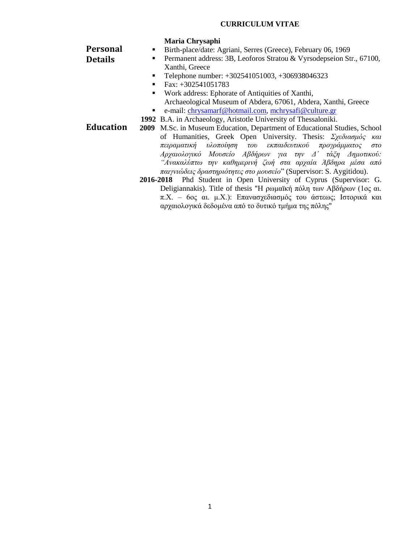## **CURRICULUM VITAE**

|                  | Maria Chrysaphi                                                                                                                            |  |  |
|------------------|--------------------------------------------------------------------------------------------------------------------------------------------|--|--|
| <b>Personal</b>  | Birth-place/date: Agriani, Serres (Greece), February 06, 1969<br>٠                                                                         |  |  |
| <b>Details</b>   | Permanent address: 3B, Leoforos Stratou & Vyrsodepseion Str., 67100,<br>$\blacksquare$                                                     |  |  |
|                  | Xanthi, Greece                                                                                                                             |  |  |
|                  | Telephone number: +302541051003, +306938046323<br>٠                                                                                        |  |  |
|                  | Fax: $+302541051783$<br>٠                                                                                                                  |  |  |
|                  | Work address: Ephorate of Antiquities of Xanthi,<br>$\blacksquare$                                                                         |  |  |
|                  | Archaeological Museum of Abdera, 67061, Abdera, Xanthi, Greece                                                                             |  |  |
|                  | e-mail: chrysamarf@hotmail.com, mchrysafi@culture.gr                                                                                       |  |  |
|                  | 1992 B.A. in Archaeology, Aristotle University of Thessaloniki.                                                                            |  |  |
| <b>Education</b> | 2009 M.Sc. in Museum Education, Department of Educational Studies, School                                                                  |  |  |
|                  | of Humanities, Greek Open University. Thesis: $\Sigma \chi \epsilon \delta u \sigma \mu \delta \varsigma$ και                              |  |  |
|                  | πειραματική υλοποίηση του εκπαιδευτικού προγράμματος στο                                                                                   |  |  |
|                  | Αρχαιολογικό Μουσείο Αβδήρων για την Δ' τάζη Δημοτικού:                                                                                    |  |  |
|                  | "Ανακαλύπτω την καθημερινή ζωή στα αρχαία Άβδηρα μέσα από                                                                                  |  |  |
|                  | παιγνιώδεις δραστηριότητες στο μουσείο" (Supervisor: S. Aygitidou).                                                                        |  |  |
|                  | 2016-2018 Phd Student in Open University of Cyprus (Supervisor: G.<br>Deligiannakis). Title of thesis "Η ρωμαϊκή πόλη των Αβδήρων (1ος αι. |  |  |
|                  |                                                                                                                                            |  |  |
|                  | π.Χ. - 6ος αι. μ.Χ.): Επανασχεδιασμός του άστεως; Ιστορικά και                                                                             |  |  |
|                  | αρχαιολογικά δεδομένα από το δυτικό τμήμα της πόλης"                                                                                       |  |  |
|                  |                                                                                                                                            |  |  |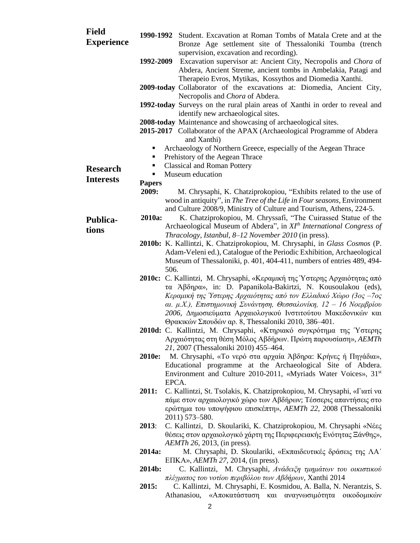| <b>Field</b><br><b>Experience</b> |                     | 1990-1992 Student. Excavation at Roman Tombs of Matala Crete and at the                                                                    |
|-----------------------------------|---------------------|--------------------------------------------------------------------------------------------------------------------------------------------|
|                                   |                     | Bronze Age settlement site of Thessaloniki Toumba (trench<br>supervision, excavation and recording).                                       |
|                                   | 1992-2009           | Excavation supervisor at: Ancient City, Necropolis and Chora of                                                                            |
|                                   |                     | Abdera, Ancient Streme, ancient tombs in Ambelakia, Patagi and                                                                             |
|                                   |                     | Therapeio Evros, Mytikas, Kossythos and Diomedia Xanthi.                                                                                   |
|                                   |                     | 2009-today Collaborator of the excavations at: Diomedia, Ancient City,                                                                     |
|                                   |                     | Necropolis and Chora of Abdera.                                                                                                            |
|                                   |                     | 1992-today Surveys on the rural plain areas of Xanthi in order to reveal and<br>identify new archaeological sites.                         |
|                                   |                     | 2008-today Maintenance and showcasing of archaeological sites.                                                                             |
|                                   |                     | 2015-2017 Collaborator of the APAX (Archaeological Programme of Abdera                                                                     |
|                                   |                     | and Xanthi)                                                                                                                                |
|                                   | ٠                   | Archaeology of Northern Greece, especially of the Aegean Thrace                                                                            |
|                                   | ٠                   | Prehistory of the Aegean Thrace                                                                                                            |
| <b>Research</b>                   | ٠<br>$\blacksquare$ | <b>Classical and Roman Pottery</b>                                                                                                         |
| <b>Interests</b>                  | <b>Papers</b>       | Museum education                                                                                                                           |
|                                   | 2009:               | M. Chrysaphi, K. Chatziprokopiou, "Exhibits related to the use of                                                                          |
|                                   |                     | wood in antiquity", in The Tree of the Life in Four seasons, Environment                                                                   |
|                                   |                     | and Culture 2008/9, Ministry of Culture and Tourism, Athens, 224-5.                                                                        |
| <b>Publica-</b>                   | 2010a:              | K. Chatziprokopiou, M. Chryssafi, "The Cuirassed Statue of the                                                                             |
| tions                             |                     | Archaeological Museum of Abdera", in $XIth International Congress of$                                                                      |
|                                   |                     | Thracology, Istanbul, 8-12 November 2010 (in press).<br>2010b: K. Kallintzi, K. Chatziprokopiou, M. Chrysaphi, in Glass Cosmos (P.         |
|                                   |                     | Adam-Veleni ed.), Catalogue of the Periodic Exhibition, Archaeological                                                                     |
|                                   |                     | Museum of Thessaloniki, p. 401, 404-411, numbers of entries 489, 494-                                                                      |
|                                   | 506.                |                                                                                                                                            |
|                                   |                     | <b>2010c:</b> C. Kallintzi, M. Chrysaphi, «Κεραμική της Υστερης Αρχαιότητας από                                                            |
|                                   |                     | τα Άβδηρα», in: D. Papanikola-Bakirtzi, N. Kousoulakou (eds),                                                                              |
|                                   |                     | Κεραμική της Ύστερης Αρχαιότητας από τον Ελλαδικό Χώρο (3ος –7ος<br>αι. μ.Χ.), Επιστημονική Συνάντηση, Θεσσαλονίκη, 12 - 16 Νοεμβρίου      |
|                                   |                     | 2006, Δημοσιεύματα Αρχαιολογικού Ινστιτούτου Μακεδονικών και                                                                               |
|                                   |                     | Θρακικών Σπουδών αρ. 8, Thessaloniki 2010, 386-401.                                                                                        |
|                                   |                     | 2010d: C. Kallintzi, M. Chrysaphi, «Κτηριακό συγκρότημα της Ύστερης                                                                        |
|                                   |                     | Αρχαιότητας στη θέση Μόλος Αβδήρων. Πρώτη παρουσίαση», AEMTh                                                                               |
|                                   |                     | 21, 2007 (Thessaloniki 2010) 455–464.                                                                                                      |
|                                   | 2010e:              | M. Chrysaphi, «Το νερό στα αρχαία Άβδηρα: Κρήνες ή Πηγάδια»,                                                                               |
|                                   |                     | Educational programme at the Archaeological Site of Abdera.<br>Environment and Culture 2010-2011, «Myriads Water Voices», 31 <sup>st</sup> |
|                                   |                     | EPCA.                                                                                                                                      |
|                                   | 2011:               | C. Kallintzi, St. Tsolakis, K. Chatziprokopiou, M. Chrysaphi, «Γιατί να                                                                    |
|                                   |                     | πάμε στον αρχαιολογικό χώρο των Αβδήρων; Τέσσερις απαντήσεις στο                                                                           |
|                                   |                     | ερώτημα του υποψήφιου επισκέπτη», AEMTh 22, 2008 (Thessaloniki                                                                             |
|                                   |                     | 2011) 573-580.                                                                                                                             |
|                                   | 2013:               | C. Kallintzi, D. Skoulariki, K. Chatziprokopiou, M. Chrysaphi «Néeç<br>θέσεις στον αρχαιολογικό χάρτη της Περιφερειακής Ενότητας Ξάνθης»,  |
|                                   |                     | <i>AEMTh</i> 26, 2013, (in press).                                                                                                         |
|                                   | 2014a:              | M. Chrysaphi, D. Skoulariki, «Εκπαιδευτικές δράσεις της ΛΑ'                                                                                |
|                                   |                     | EIIKA», $AEMTh$ 27, 2014, (in press).                                                                                                      |
|                                   | 2014b:              | C. Kallintzi, M. Chrysaphi, Ανάδειξη τμημάτων του οικιστικού                                                                               |
|                                   |                     | πλέγματος του νοτίου περιβόλου των Αβδήρων, Xanthi 2014                                                                                    |
|                                   | 2015:               | C. Kallintzi, M. Chrysaphi, E. Kosmidou, A. Balla, N. Nerantzis, S.<br>Athanasiou, «Αποκατάσταση και αναγνωσιμότητα οικοδομικών            |
|                                   |                     |                                                                                                                                            |